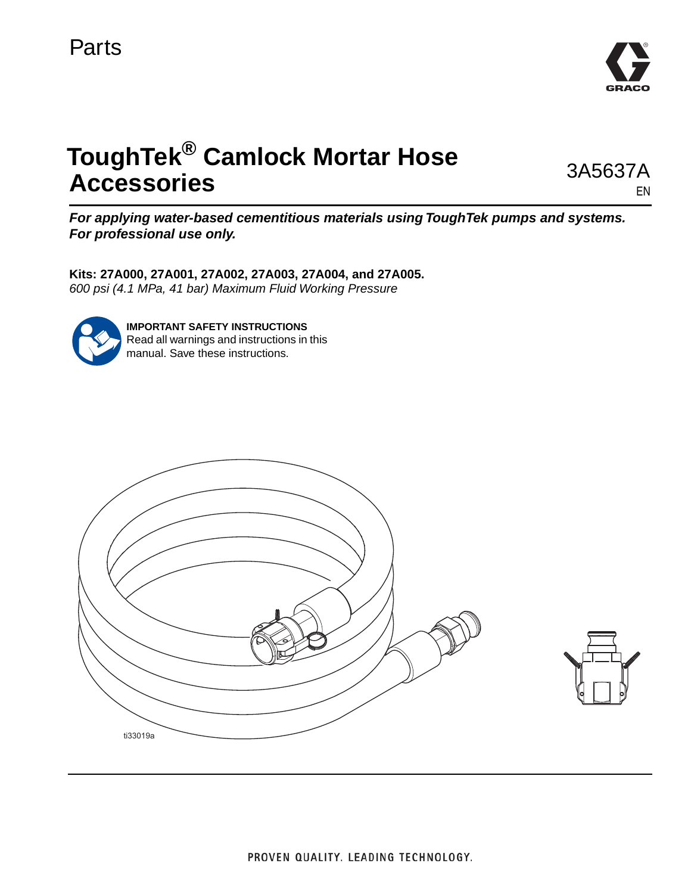

# **ToughTek® Camlock Mortar Hose Accessories**

3A5637A EN

*For applying water-based cementitious materials using ToughTek pumps and systems. For professional use only.*

**Kits: 27A000, 27A001, 27A002, 27A003, 27A004, and 27A005.** *600 psi (4.1 MPa, 41 bar) Maximum Fluid Working Pressure*



**IMPORTANT SAFETY INSTRUCTIONS** Read all warnings and instructions in this manual. Save these instructions.



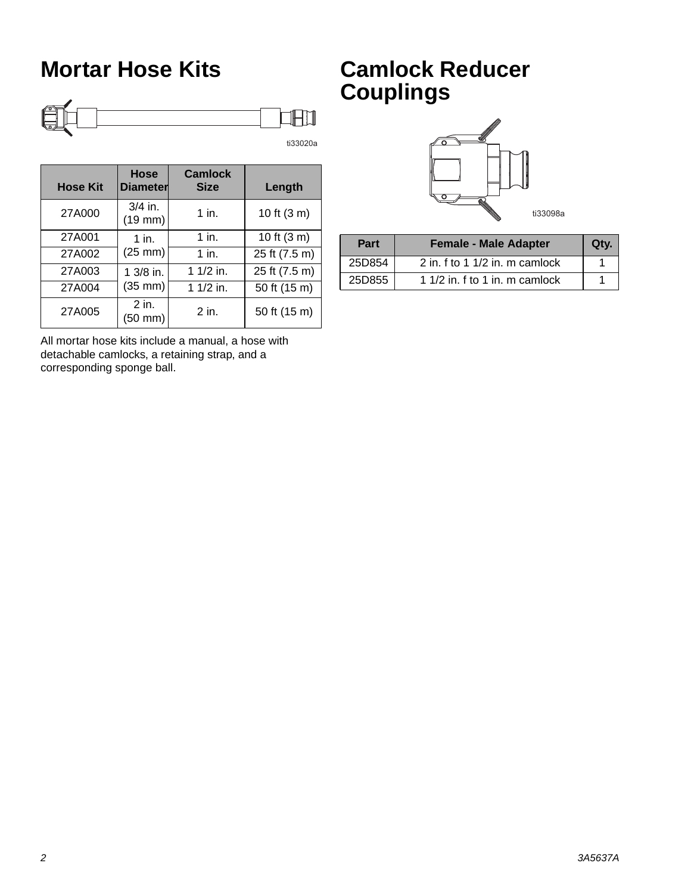### **Mortar Hose Kits**



| <b>Hose Kit</b> | Hose<br><b>Diameter</b>         | <b>Camlock</b><br><b>Size</b> | Length        |
|-----------------|---------------------------------|-------------------------------|---------------|
| 27A000          | $3/4$ in.<br>$(19$ mm $)$       | $1$ in.                       | 10 ft (3 m)   |
| 27A001          | $1$ in.                         | $1$ in.                       | 10 ft $(3 m)$ |
| 27A002          | $(25 \text{ mm})$               | $1$ in.                       | 25 ft (7.5 m) |
| 27A003          | $13/8$ in.<br>$(35 \text{ mm})$ | 1 $1/2$ in.                   | 25 ft (7.5 m) |
| 27A004          |                                 | 1 $1/2$ in.                   | 50 ft (15 m)  |
| 27A005          | 2 in.<br>(50 mm)                | 2 in.                         | 50 ft (15 m)  |

All mortar hose kits include a manual, a hose with detachable camlocks, a retaining strap, and a corresponding sponge ball.

### **Camlock Reducer Couplings**



| Part   | <b>Female - Male Adapter</b>   | Qty. |
|--------|--------------------------------|------|
| 25D854 | 2 in. f to 1 1/2 in. m camlock |      |
| 25D855 | 1 1/2 in. f to 1 in. m camlock |      |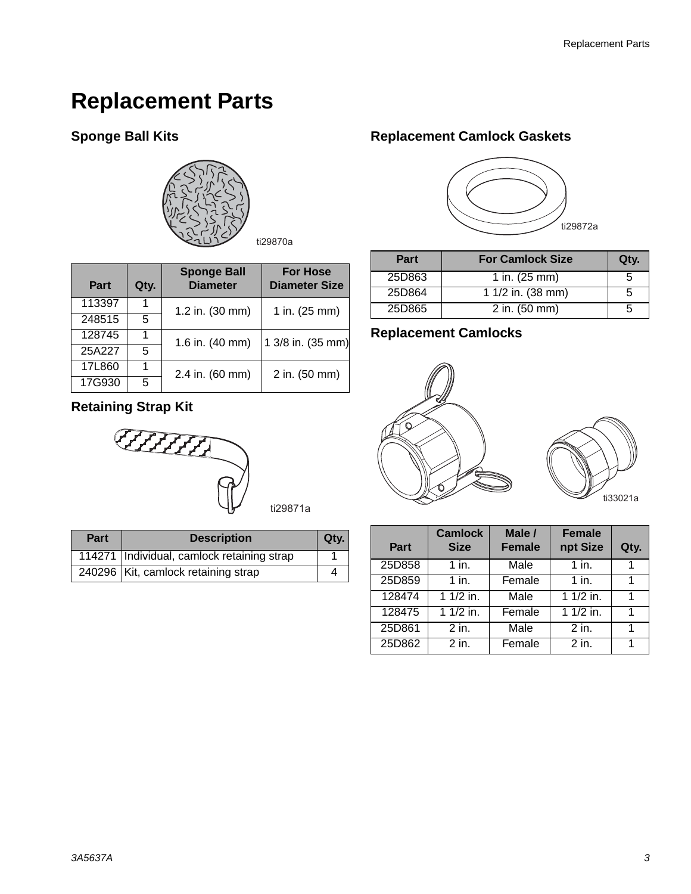# **Replacement Parts**

#### **Sponge Ball Kits**



| Part   | Qty. | <b>Sponge Ball</b><br><b>Diameter</b> | <b>For Hose</b><br><b>Diameter Size</b> |  |
|--------|------|---------------------------------------|-----------------------------------------|--|
| 113397 |      | 1.2 in. (30 mm)                       | 1 in. (25 mm)                           |  |
| 248515 | 5    |                                       |                                         |  |
| 128745 |      | 1.6 in. (40 mm)                       | 1 3/8 in. (35 mm)                       |  |
| 25A227 | 5    |                                       |                                         |  |
| 17L860 |      | 2.4 in. (60 mm)                       | 2 in. (50 mm)                           |  |
| 17G930 | 5    |                                       |                                         |  |

#### **Retaining Strap Kit**

**CHIHA** 

| ti29871a |
|----------|
|----------|

| <b>Part</b> | <b>Description</b>                         | Otv. |
|-------------|--------------------------------------------|------|
|             | 114271 Individual, camlock retaining strap |      |
|             | 240296 Kit, camlock retaining strap        |      |

#### **Replacement Camlock Gaskets**



| <b>Part</b> | <b>For Camlock Size</b>   | Qty. |
|-------------|---------------------------|------|
| 25D863      | 1 in. $(25 \, \text{mm})$ | h    |
| 25D864      | 1 $1/2$ in. (38 mm)       | 5    |
| 25D865      | 2 in. $(50 \text{ mm})$   |      |

#### **Replacement Camlocks**





| Part   | <b>Camlock</b><br><b>Size</b> | Male /<br><b>Female</b> | <b>Female</b><br>npt Size | Qty. |
|--------|-------------------------------|-------------------------|---------------------------|------|
| 25D858 | $1$ in.                       | Male                    | $1$ in.                   |      |
| 25D859 | $1$ in.                       | Female                  | $1$ in.                   | 1    |
| 128474 | $11/2$ in.                    | Male                    | 1 $1/2$ in.               | 1    |
| 128475 | $1/2$ in.                     | Female                  | $11/2$ in.                | 1    |
| 25D861 | 2 in.                         | Male                    | $2$ in.                   | 1    |
| 25D862 | $2$ in.                       | Female                  | $2$ in.                   |      |